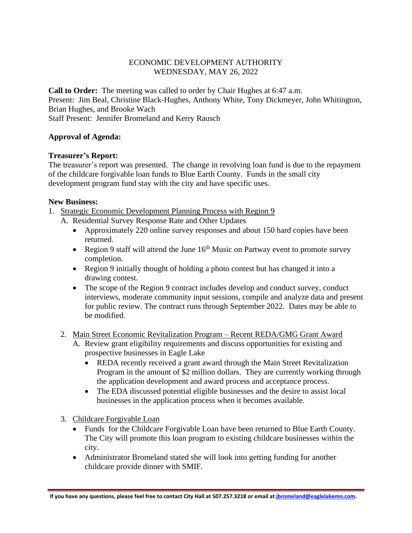# ECONOMIC DEVELOPMENT AUTHORITY WEDNESDAY, MAY 26, 2022

**Call to Order:** The meeting was called to order by Chair Hughes at 6:47 a.m. Present: Jim Beal, Christine Black-Hughes, Anthony White, Tony Dickmeyer, John Whitington, Brian Hughes, and Brooke Wach Staff Present: Jennifer Bromeland and Kerry Rausch

### **Approval of Agenda:**

### **Treasurer's Report:**

The treasurer's report was presented. The change in revolving loan fund is due to the repayment of the childcare forgivable loan funds to Blue Earth County. Funds in the small city development program fund stay with the city and have specific uses.

#### **New Business:**

- 1. Strategic Economic Development Planning Process with Region 9
	- A. Residential Survey Response Rate and Other Updates
		- Approximately 220 online survey responses and about 150 hard copies have been returned.
		- Region 9 staff will attend the June  $16<sup>th</sup>$  Music on Partway event to promote survey completion.
		- Region 9 initially thought of holding a photo contest but has changed it into a drawing contest.
		- The scope of the Region 9 contract includes develop and conduct survey, conduct interviews, moderate community input sessions, compile and analyze data and present for public review. The contract runs through September 2022. Dates may be able to be modified.

## 2. Main Street Economic Revitalization Program – Recent REDA/GMG Grant Award

- A. Review grant eligibility requirements and discuss opportunities for existing and prospective businesses in Eagle Lake
	- REDA recently received a grant award through the Main Street Revitalization Program in the amount of \$2 million dollars. They are currently working through the application development and award process and acceptance process.
	- The EDA discussed potential eligible businesses and the desire to assist local businesses in the application process when it becomes available.
- 3. Childcare Forgivable Loan
	- Funds for the Childcare Forgivable Loan have been returned to Blue Earth County. The City will promote this loan program to existing childcare businesses within the city.
	- Administrator Bromeland stated she will look into getting funding for another childcare provide dinner with SMIF.